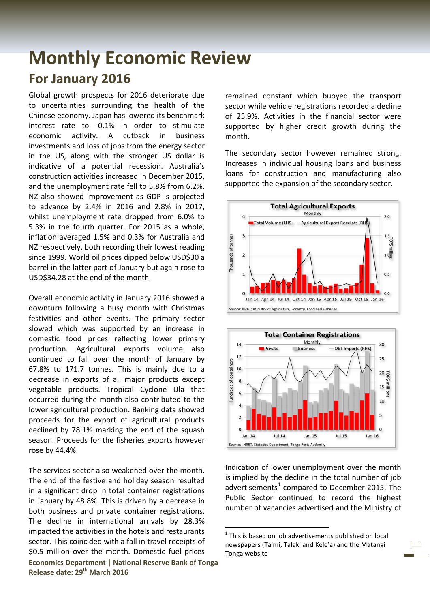## **Monthly Economic Review For January 2016**

Global growth prospects for 2016 deteriorate due to uncertainties surrounding the health of the Chinese economy. Japan has lowered its benchmark interest rate to -0.1% in order to stimulate economic activity. A cutback in business investments and loss of jobs from the energy sector in the US, along with the stronger US dollar is indicative of a potential recession. Australia's construction activities increased in December 2015, and the unemployment rate fell to 5.8% from 6.2%. NZ also showed improvement as GDP is projected to advance by 2.4% in 2016 and 2.8% in 2017, whilst unemployment rate dropped from 6.0% to 5.3% in the fourth quarter. For 2015 as a whole, inflation averaged 1.5% and 0.3% for Australia and NZ respectively, both recording their lowest reading since 1999. World oil prices dipped below USD\$30 a barrel in the latter part of January but again rose to USD\$34.28 at the end of the month.

Overall economic activity in January 2016 showed a downturn following a busy month with Christmas festivities and other events. The primary sector slowed which was supported by an increase in domestic food prices reflecting lower primary production. Agricultural exports volume also continued to fall over the month of January by 67.8% to 171.7 tonnes. This is mainly due to a decrease in exports of all major products except vegetable products. Tropical Cyclone Ula that occurred during the month also contributed to the lower agricultural production. Banking data showed proceeds for the export of agricultural products declined by 78.1% marking the end of the squash season. Proceeds for the fisheries exports however rose by 44.4%.

<span id="page-0-0"></span>**Economics Department | National Reserve Bank of Tonga Release date: 29th March 2016** The services sector also weakened over the month. The end of the festive and holiday season resulted in a significant drop in total container registrations in January by 48.8%. This is driven by a decrease in both business and private container registrations. The decline in international arrivals by 28.3% impacted the activities in the hotels and restaurants sector. This coincided with a fall in travel receipts of \$0.5 million over the month. Domestic fuel prices

remained constant which buoyed the transport sector while vehicle registrations recorded a decline of 25.9%. Activities in the financial sector were supported by higher credit growth during the month.

The secondary sector however remained strong. Increases in individual housing loans and business loans for construction and manufacturing also supported the expansion of the secondary sector.





Indication of lower unemployment over the month is implied by the decline in the total number of job advertisements $1$  compared to December 2015. The Public Sector continued to record the highest number of vacancies advertised and the Ministry of

 $1$  This is based on job advertisements published on local newspapers (Taimi, Talaki and Kele'a) and the Matangi Tonga website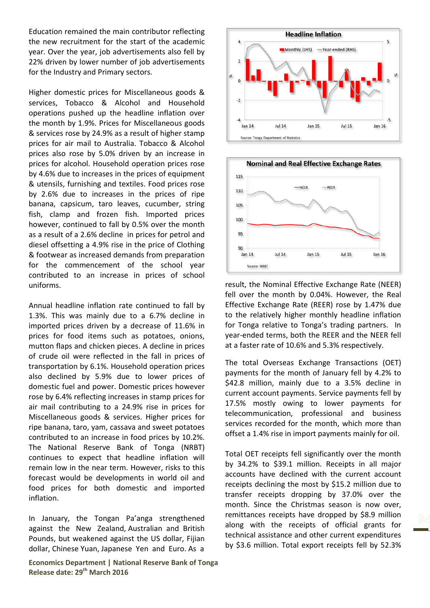Education remained the main contributor reflecting the new recruitment for the start of the academic year. Over the year, job advertisements also fell by 22% driven by lower number of job advertisements for the Industry and Primary sectors.

Higher domestic prices for Miscellaneous goods & services, Tobacco & Alcohol and Household operations pushed up the headline inflation over the month by 1.9%. Prices for Miscellaneous goods & services rose by 24.9% as a result of higher stamp prices for air mail to Australia. Tobacco & Alcohol prices also rose by 5.0% driven by an increase in prices for alcohol. Household operation prices rose by 4.6% due to increases in the prices of equipment & utensils, furnishing and textiles. Food prices rose by 2.6% due to increases in the prices of ripe banana, capsicum, taro leaves, cucumber, string fish, clamp and frozen fish. Imported prices however, continued to fall by 0.5% over the month as a result of a 2.6% decline in prices for petrol and diesel offsetting a 4.9% rise in the price of Clothing & footwear as increased demands from preparation for the commencement of the school year contributed to an increase in prices of school uniforms.

Annual headline inflation rate continued to fall by 1.3%. This was mainly due to a 6.7% decline in imported prices driven by a decrease of 11.6% in prices for food items such as potatoes, onions, mutton flaps and chicken pieces. A decline in prices of crude oil were reflected in the fall in prices of transportation by 6.1%. Household operation prices also declined by 5.9% due to lower prices of domestic fuel and power. Domestic prices however rose by 6.4% reflecting increases in stamp prices for air mail contributing to a 24.9% rise in prices for Miscellaneous goods & services. Higher prices for ripe banana, taro, yam, cassava and sweet potatoes contributed to an increase in food prices by 10.2%. The National Reserve Bank of Tonga (NRBT) continues to expect that headline inflation will remain low in the near term. However, risks to this forecast would be developments in world oil and food prices for both domestic and imported inflation.

In January, the Tongan Pa'anga strengthened against the New Zealand, Australian and British Pounds, but weakened against the US dollar, Fijian dollar, Chinese Yuan, Japanese Yen and Euro. As a





result, the Nominal Effective Exchange Rate (NEER) fell over the month by 0.04%. However, the Real Effective Exchange Rate (REER) rose by 1.47% due to the relatively higher monthly headline inflation for Tonga relative to Tonga's trading partners. In year-ended terms, both the REER and the NEER fell at a faster rate of 10.6% and 5.3% respectively.

The total Overseas Exchange Transactions (OET) payments for the month of January fell by 4.2% to \$42.8 million, mainly due to a 3.5% decline in current account payments. Service payments fell by 17.5% mostly owing to lower payments for telecommunication, professional and business services recorded for the month, which more than offset a 1.4% rise in import payments mainly for oil.

Total OET receipts fell significantly over the month by 34.2% to \$39.1 million. Receipts in all major accounts have declined with the current account receipts declining the most by \$15.2 million due to transfer receipts dropping by 37.0% over the month. Since the Christmas season is now over, remittances receipts have dropped by \$8.9 million along with the receipts of official grants for technical assistance and other current expenditures by \$3.6 million. Total export receipts fell by 52.3%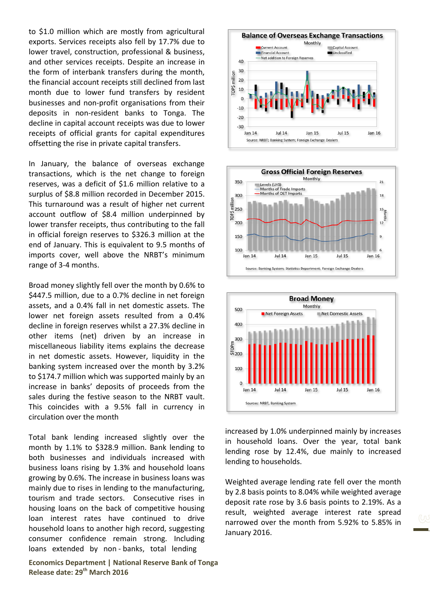to \$1.0 million which are mostly from agricultural exports. Services receipts also fell by 17.7% due to lower travel, construction, professional & business, and other services receipts. Despite an increase in the form of interbank transfers during the month, the financial account receipts still declined from last month due to lower fund transfers by resident businesses and non-profit organisations from their deposits in non-resident banks to Tonga. The decline in capital account receipts was due to lower receipts of official grants for capital expenditures offsetting the rise in private capital transfers.

In January, the balance of overseas exchange transactions, which is the net change to foreign reserves, was a deficit of \$1.6 million relative to a surplus of \$8.8 million recorded in December 2015. This turnaround was a result of higher net current account outflow of \$8.4 million underpinned by lower transfer receipts, thus contributing to the fall in official foreign reserves to \$326.3 million at the end of January. This is equivalent to 9.5 months of imports cover, well above the NRBT's minimum range of 3-4 months.

Broad money slightly fell over the month by 0.6% to \$447.5 million, due to a 0.7% decline in net foreign assets, and a 0.4% fall in net domestic assets. The lower net foreign assets resulted from a 0.4% decline in foreign reserves whilst a 27.3% decline in other items (net) driven by an increase in miscellaneous liability items explains the decrease in net domestic assets. However, liquidity in the banking system increased over the month by 3.2% to \$174.7 million which was supported mainly by an increase in banks' deposits of proceeds from the sales during the festive season to the NRBT vault. This coincides with a 9.5% fall in currency in circulation over the month

Total bank lending increased slightly over the month by 1.1% to \$328.9 million. Bank lending to both businesses and individuals increased with business loans rising by 1.3% and household loans growing by 0.6%. The increase in business loans was mainly due to rises in lending to the manufacturing, tourism and trade sectors. Consecutive rises in housing loans on the back of competitive housing loan interest rates have continued to drive household loans to another high record, suggesting consumer confidence remain strong. Including loans extended by non - banks, total lending

**Economics Department | National Reserve Bank of Tonga Release date: 29th March 2016**







increased by 1.0% underpinned mainly by increases in household loans. Over the year, total bank lending rose by 12.4%, due mainly to increased lending to households.

Weighted average lending rate fell over the month by 2.8 basis points to 8.04% while weighted average deposit rate rose by 3.6 basis points to 2.19%. As a result, weighted average interest rate spread narrowed over the month from 5.92% to 5.85% in January 2016.